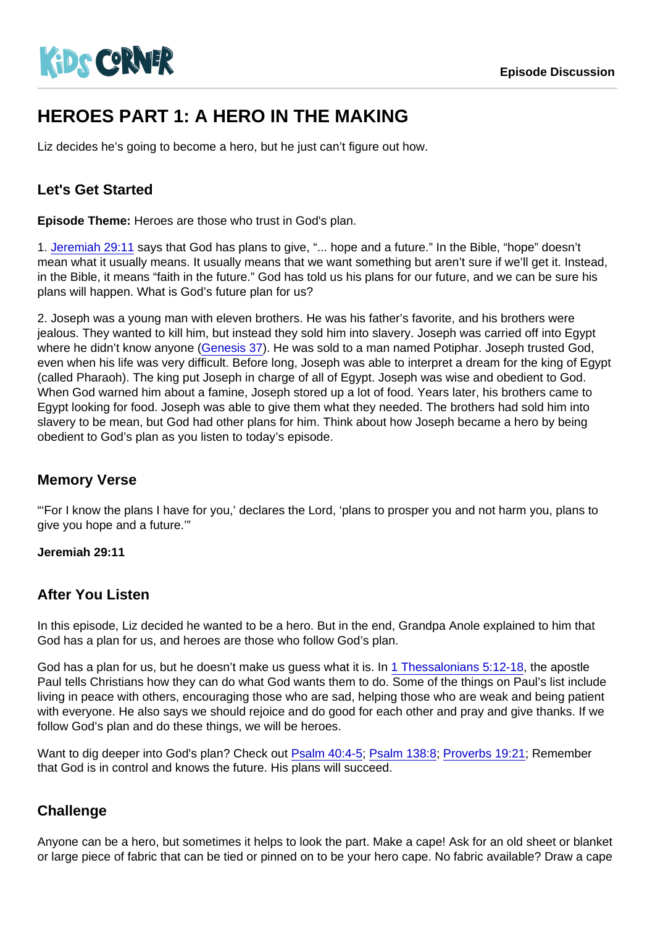# HEROES PART 1: A HERO IN THE MAKING

Liz decides he's going to become a hero, but he just can't figure out how.

## Let's Get Started

Episode Theme: Heroes are those who trust in God's plan.

1. [Jeremiah 29:11](https://www.biblegateway.com/passage/?search=Jeremiah+29:11) says that God has plans to give, "... hope and a future." In the Bible, "hope" doesn't mean what it usually means. It usually means that we want something but aren't sure if we'll get it. Instead, in the Bible, it means "faith in the future." God has told us his plans for our future, and we can be sure his plans will happen. What is God's future plan for us?

2. Joseph was a young man with eleven brothers. He was his father's favorite, and his brothers were jealous. They wanted to kill him, but instead they sold him into slavery. Joseph was carried off into Egypt where he didn't know anyone [\(Genesis 37\)](https://www.biblegateway.com/passage/?search=Genesis+37). He was sold to a man named Potiphar. Joseph trusted God, even when his life was very difficult. Before long, Joseph was able to interpret a dream for the king of Egypt (called Pharaoh). The king put Joseph in charge of all of Egypt. Joseph was wise and obedient to God. When God warned him about a famine, Joseph stored up a lot of food. Years later, his brothers came to Egypt looking for food. Joseph was able to give them what they needed. The brothers had sold him into slavery to be mean, but God had other plans for him. Think about how Joseph became a hero by being obedient to God's plan as you listen to today's episode.

#### Memory Verse

"'For I know the plans I have for you,' declares the Lord, 'plans to prosper you and not harm you, plans to give you hope and a future.'"

Jeremiah 29:11

#### After You Listen

In this episode, Liz decided he wanted to be a hero. But in the end, Grandpa Anole explained to him that God has a plan for us, and heroes are those who follow God's plan.

God has a plan for us, but he doesn't make us guess what it is. In [1 Thessalonians 5:12-18](https://www.biblegateway.com/passage/?search=1+Thessalonians+5:12-18), the apostle Paul tells Christians how they can do what God wants them to do. Some of the things on Paul's list include living in peace with others, encouraging those who are sad, helping those who are weak and being patient with everyone. He also says we should rejoice and do good for each other and pray and give thanks. If we follow God's plan and do these things, we will be heroes.

Want to dig deeper into God's plan? Check out [Psalm 40:4-5;](https://www.biblegateway.com/passage/?search=Psalm+40:4-5) [Psalm 138:8;](https://www.biblegateway.com/passage/?search=Psalm+138:8) [Proverbs 19:21;](https://www.biblegateway.com/passage/?search=Proverbs+19:21) Remember that God is in control and knows the future. His plans will succeed.

#### **Challenge**

Anyone can be a hero, but sometimes it helps to look the part. Make a cape! Ask for an old sheet or blanket or large piece of fabric that can be tied or pinned on to be your hero cape. No fabric available? Draw a cape